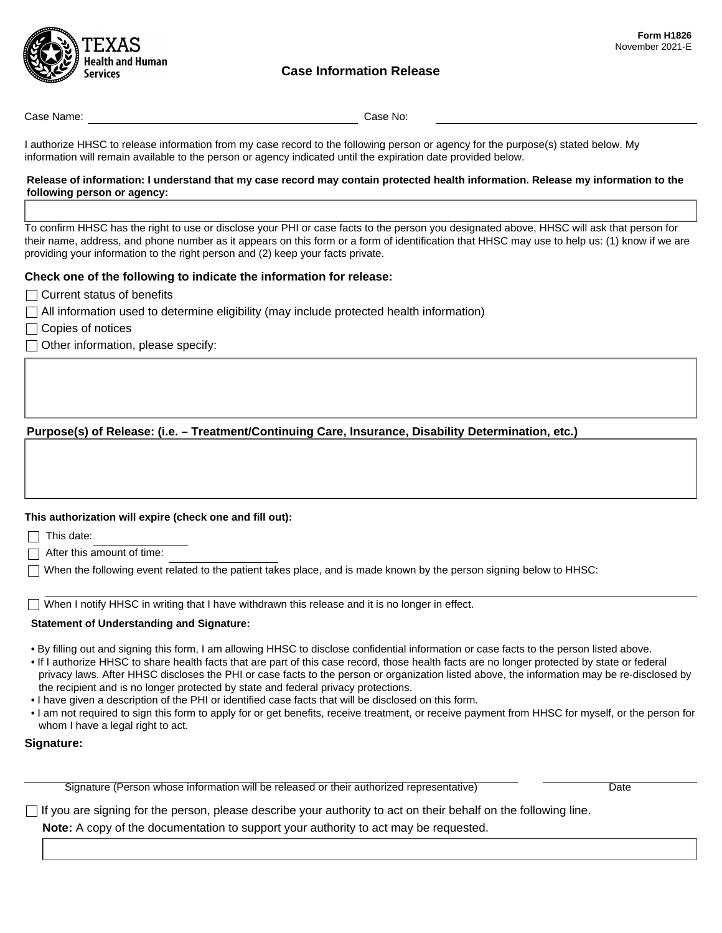

# **Case Information Release**

Case Name: Case No:

I authorize HHSC to release information from my case record to the following person or agency for the purpose(s) stated below. My information will remain available to the person or agency indicated until the expiration date provided below.

#### **Release of information: I understand that my case record may contain protected health information. Release my information to the following person or agency:**

To confirm HHSC has the right to use or disclose your PHI or case facts to the person you designated above, HHSC will ask that person for their name, address, and phone number as it appears on this form or a form of identification that HHSC may use to help us: (1) know if we are providing your information to the right person and (2) keep your facts private.

## **Check one of the following to indicate the information for release:**

- $\Box$  Current status of benefits
- $\Box$  All information used to determine eligibility (may include protected health information)
- $\Box$  Copies of notices
- $\Box$  Other information, please specify:

# **Purpose(s) of Release: (i.e. – Treatment/Continuing Care, Insurance, Disability Determination, etc.)**

#### **This authorization will expire (check one and fill out):**

 $\Box$  This date:

 $\Box$  After this amount of time:

When the following event related to the patient takes place, and is made known by the person signing below to HHSC:

 $\Box$  When I notify HHSC in writing that I have withdrawn this release and it is no longer in effect.

### **Statement of Understanding and Signature:**

- By filling out and signing this form, I am allowing HHSC to disclose confidential information or case facts to the person listed above.
- If I authorize HHSC to share health facts that are part of this case record, those health facts are no longer protected by state or federal privacy laws. After HHSC discloses the PHI or case facts to the person or organization listed above, the information may be re-disclosed by the recipient and is no longer protected by state and federal privacy protections.
- I have given a description of the PHI or identified case facts that will be disclosed on this form.
- I am not required to sign this form to apply for or get benefits, receive treatment, or receive payment from HHSC for myself, or the person for whom I have a legal right to act.

### **Signature:**

Signature (Person whose information will be released or their authorized representative) The Context of Date

 $\Box$  If you are signing for the person, please describe your authority to act on their behalf on the following line.

**Note:** A copy of the documentation to support your authority to act may be requested.